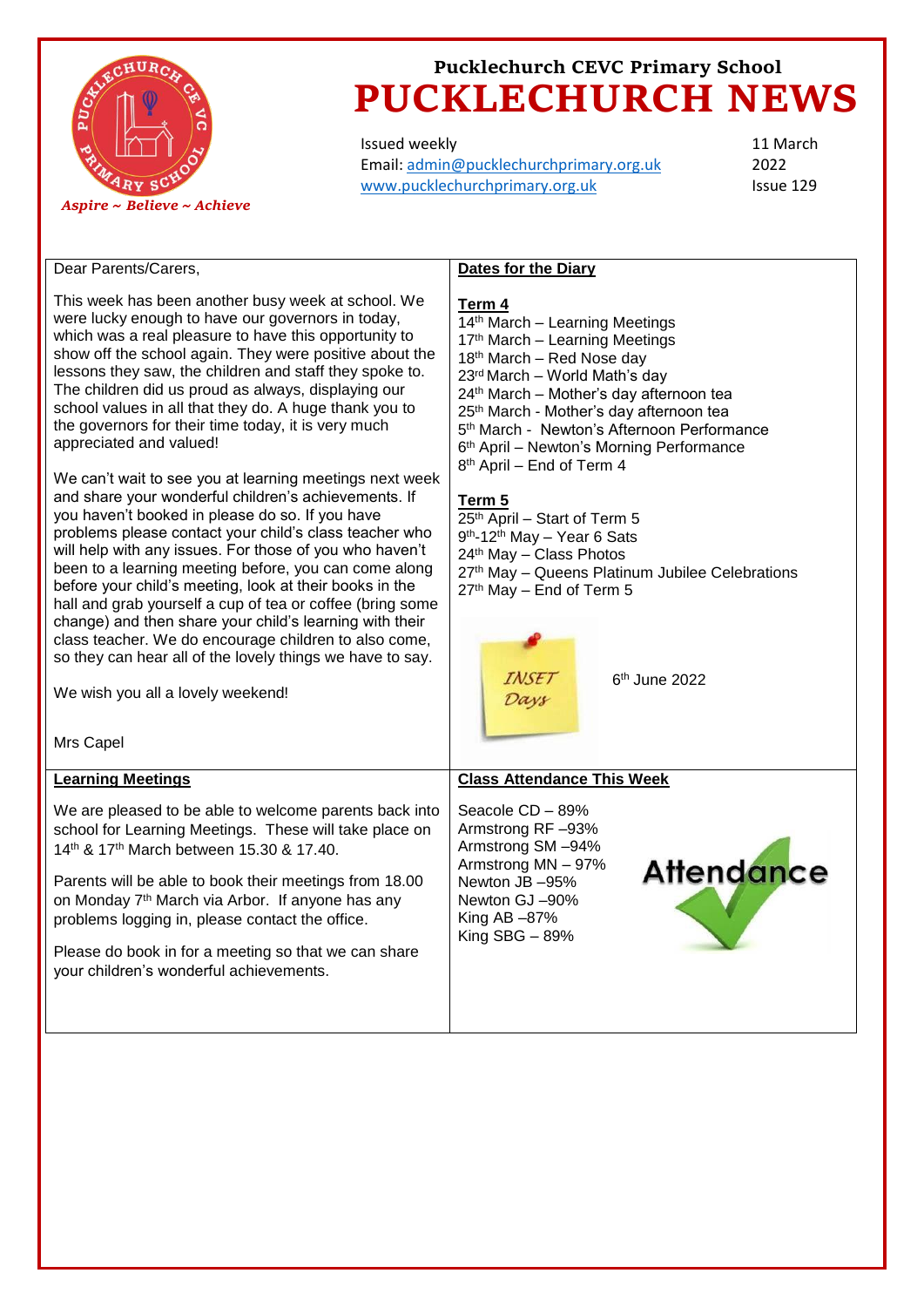

Issued weekly Email: [admin@pucklechurchprimary.org.uk](mailto:admin@pucklechurchprimary.org.uk) [www.pucklechurchprimary.org.uk](http://www.pucklechurchprimary.org.uk/)

11 March 2022 Issue 129

# Dear Parents/Carers, This week has been another busy week at school. We were lucky enough to have our governors in today, which was a real pleasure to have this opportunity to show off the school again. They were positive about the lessons they saw, the children and staff they spoke to. The children did us proud as always, displaying our school values in all that they do. A huge thank you to the governors for their time today, it is very much appreciated and valued!

We can't wait to see you at learning meetings next week and share your wonderful children's achievements. If you haven't booked in please do so. If you have problems please contact your child's class teacher who will help with any issues. For those of you who haven't been to a learning meeting before, you can come along before your child's meeting, look at their books in the hall and grab yourself a cup of tea or coffee (bring some change) and then share your child's learning with their class teacher. We do encourage children to also come, so they can hear all of the lovely things we have to say.

We wish you all a lovely weekend!

Mrs Canel

# **Dates for the Diary**

## **Term 4**

14<sup>th</sup> March - Learning Meetings 17<sup>th</sup> March - Learning Meetings 18<sup>th</sup> March – Red Nose day 23rd March – World Math's day 24<sup>th</sup> March – Mother's day afternoon tea 25<sup>th</sup> March - Mother's day afternoon tea 5 th March - Newton's Afternoon Performance 6 th April – Newton's Morning Performance 8 th April – End of Term 4 **Term 5** 25th April – Start of Term 5

- 9<sup>th</sup>-12<sup>th</sup> May Year 6 Sats 24th May – Class Photos 27th May – Queens Platinum Jubilee Celebrations 27th May – End of Term 5
	- - TAISE<sub>7</sub> Days

6 th June 2022

| iviiv vupvi                                                                                                                                                                                                                                                                                                                                                                                                                                  |                                                                                                                                                                               |
|----------------------------------------------------------------------------------------------------------------------------------------------------------------------------------------------------------------------------------------------------------------------------------------------------------------------------------------------------------------------------------------------------------------------------------------------|-------------------------------------------------------------------------------------------------------------------------------------------------------------------------------|
| <b>Learning Meetings</b>                                                                                                                                                                                                                                                                                                                                                                                                                     | <b>Class Attendance This Week</b>                                                                                                                                             |
| We are pleased to be able to welcome parents back into<br>school for Learning Meetings. These will take place on<br>14th & 17th March between 15.30 & 17.40.<br>Parents will be able to book their meetings from 18.00<br>on Monday 7 <sup>th</sup> March via Arbor. If anyone has any<br>problems logging in, please contact the office.<br>Please do book in for a meeting so that we can share<br>your children's wonderful achievements. | Seacole CD - 89%<br>Armstrong RF-93%<br>Armstrong SM-94%<br><b>Attendance</b><br>Armstrong MN - 97%<br>Newton JB -95%<br>Newton GJ-90%<br>King AB $-87\%$<br>King $SBG - 89%$ |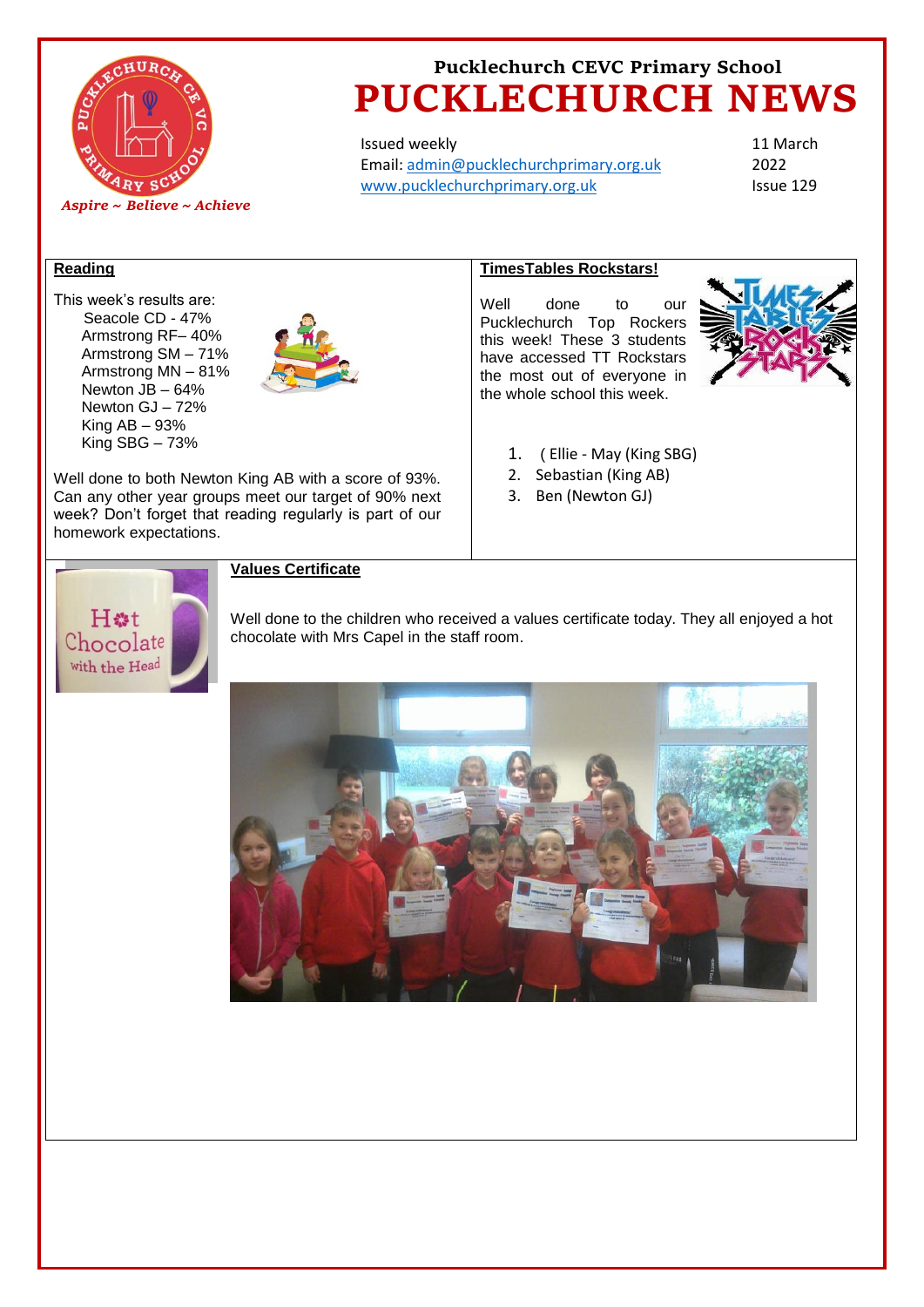

Issued weekly Email: [admin@pucklechurchprimary.org.uk](mailto:admin@pucklechurchprimary.org.uk) [www.pucklechurchprimary.org.uk](http://www.pucklechurchprimary.org.uk/)

11 March 2022 Issue 129

## **Reading**

This week's results are: Seacole CD - 47% Armstrong RF– 40% Armstrong SM – 71% Armstrong MN – 81% Newton JB – 64% Newton GJ – 72% King  $AB - 93%$ King SBG – 73%



Well done to both Newton King AB with a score of 93%. Can any other year groups meet our target of 90% next week? Don't forget that reading regularly is part of our homework expectations.

# **TimesTables Rockstars!**

Well done to our Pucklechurch Top Rockers this week! These 3 students have accessed TT Rockstars the most out of everyone in the whole school this week.



- 1. ( Ellie May (King SBG)
- 2. Sebastian (King AB)
- 3. Ben (Newton GJ)



# **Values Certificate**

Well done to the children who received a values certificate today. They all enjoyed a hot chocolate with Mrs Capel in the staff room.

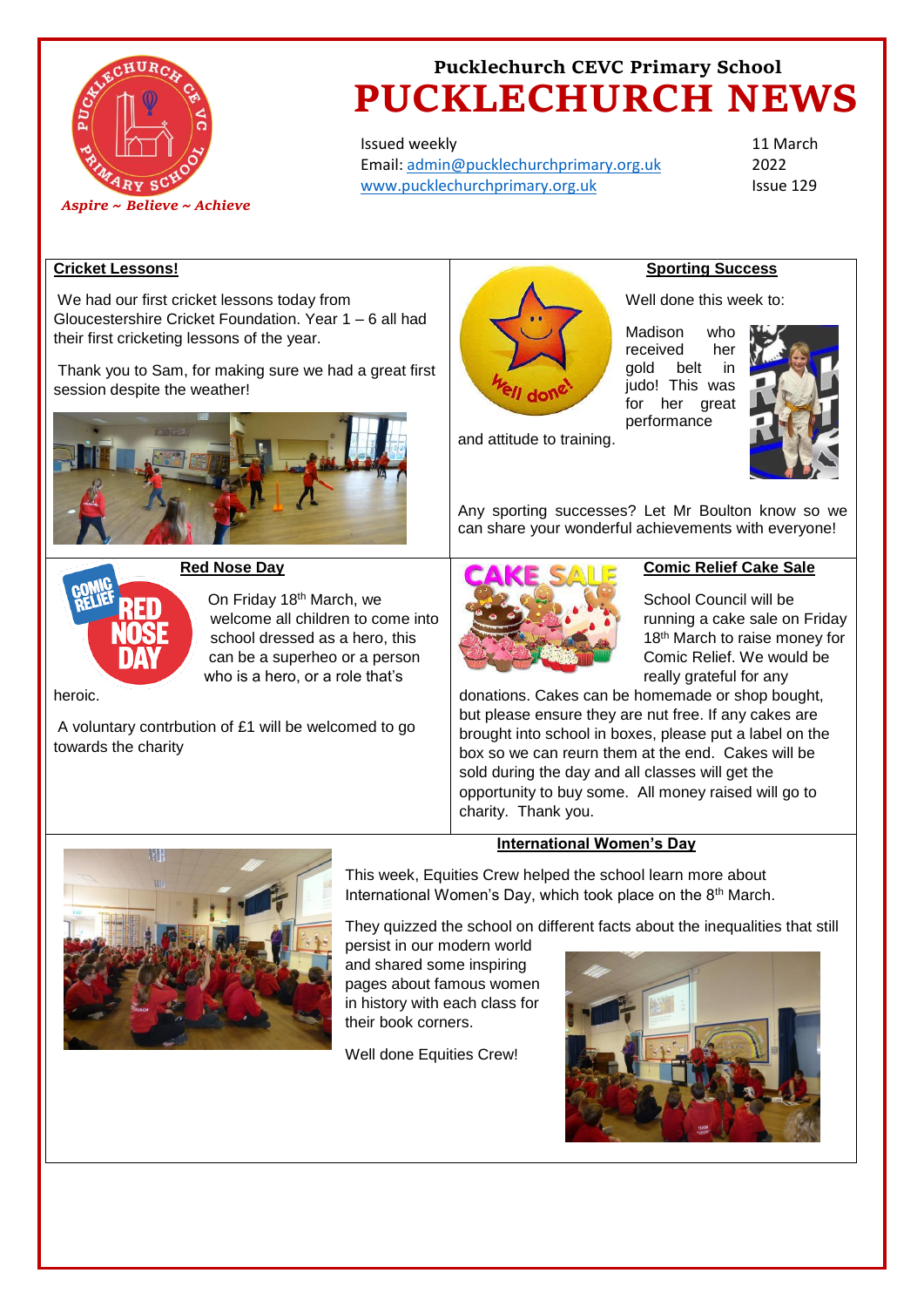

Issued weekly Email: [admin@pucklechurchprimary.org.uk](mailto:admin@pucklechurchprimary.org.uk) [www.pucklechurchprimary.org.uk](http://www.pucklechurchprimary.org.uk/)

11 March 2022 Issue 129

## **Cricket Lessons!**

We had our first cricket lessons today from Gloucestershire Cricket Foundation. Year 1 – 6 all had their first cricketing lessons of the year.

Thank you to Sam, for making sure we had a great first session despite the weather!





## **Red Nose Day**

On Friday 18th March, we welcome all children to come into school dressed as a hero, this can be a superheo or a person who is a hero, or a role that's

heroic.

A voluntary contrbution of £1 will be welcomed to go towards the charity



### **Sporting Success**

Well done this week to:

Madison who received her gold belt judo! This was for her great performance



and attitude to training.

Any sporting successes? Let Mr Boulton know so we can share your wonderful achievements with everyone!



### **Comic Relief Cake Sale**

School Council will be running a cake sale on Friday 18<sup>th</sup> March to raise money for Comic Relief. We would be really grateful for any

donations. Cakes can be homemade or shop bought, but please ensure they are nut free. If any cakes are brought into school in boxes, please put a label on the box so we can reurn them at the end. Cakes will be sold during the day and all classes will get the opportunity to buy some. All money raised will go to charity. Thank you.

## **International Women's Day**



This week, Equities Crew helped the school learn more about International Women's Day, which took place on the 8th March.

They quizzed the school on different facts about the inequalities that still

persist in our modern world and shared some inspiring pages about famous women in history with each class for their book corners.

Well done Equities Crew!